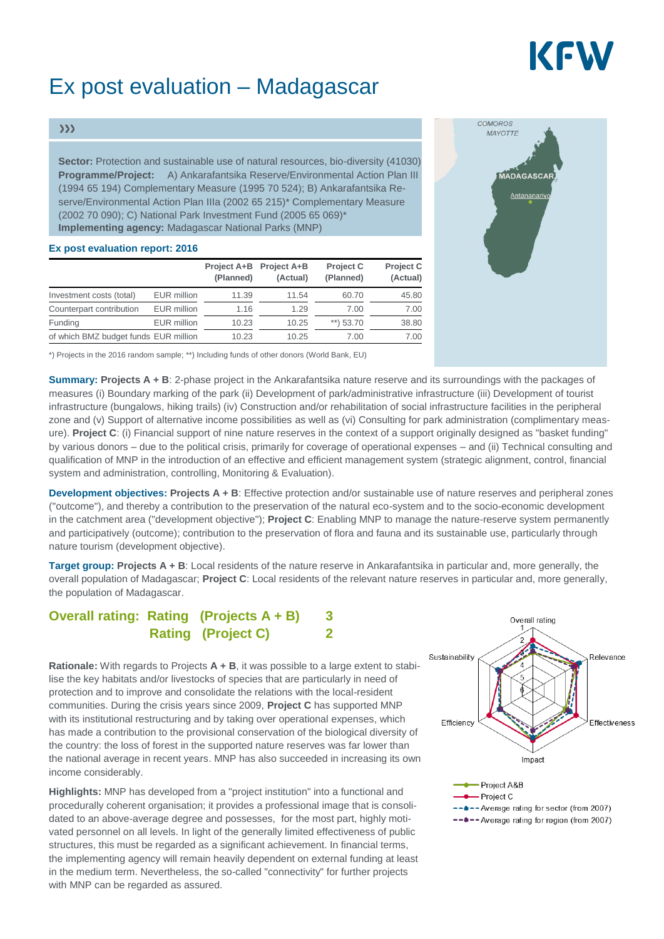# KFW

## Ex post evaluation – Madagascar

#### $\gg$

**Sector:** Protection and sustainable use of natural resources, bio-diversity (41030) **Programme/Project:** A) Ankarafantsika Reserve/Environmental Action Plan III (1994 65 194) Complementary Measure (1995 70 524); B) Ankarafantsika Reserve/Environmental Action Plan IIIa (2002 65 215)\* Complementary Measure (2002 70 090); C) National Park Investment Fund (2005 65 069)\* **Implementing agency:** Madagascar National Parks (MNP)

#### **Ex post evaluation report: 2016**

|                                       |                    | Project A+B<br>(Planned) | <b>Project A+B</b><br>(Actual) | <b>Project C</b><br>(Planned) | <b>Project C</b><br>(Actual) |
|---------------------------------------|--------------------|--------------------------|--------------------------------|-------------------------------|------------------------------|
| Investment costs (total)              | <b>EUR</b> million | 11.39                    | 11.54                          | 60.70                         | 45.80                        |
| Counterpart contribution              | <b>EUR</b> million | 1.16                     | 1.29                           | 7.00                          | 7.00                         |
| Funding                               | <b>EUR</b> million | 10.23                    | 10.25                          | **) $53.70$                   | 38.80                        |
| of which BMZ budget funds EUR million |                    | 10.23                    | 10.25                          | 7.00                          | 7.00                         |



\*) Projects in the 2016 random sample; \*\*) Including funds of other donors (World Bank, EU)

**Summary: Projects A + B**: 2-phase project in the Ankarafantsika nature reserve and its surroundings with the packages of measures (i) Boundary marking of the park (ii) Development of park/administrative infrastructure (iii) Development of tourist infrastructure (bungalows, hiking trails) (iv) Construction and/or rehabilitation of social infrastructure facilities in the peripheral zone and (v) Support of alternative income possibilities as well as (vi) Consulting for park administration (complimentary measure). **Project C**: (i) Financial support of nine nature reserves in the context of a support originally designed as "basket funding" by various donors – due to the political crisis, primarily for coverage of operational expenses – and (ii) Technical consulting and qualification of MNP in the introduction of an effective and efficient management system (strategic alignment, control, financial system and administration, controlling, Monitoring & Evaluation).

**Development objectives: Projects A + B**: Effective protection and/or sustainable use of nature reserves and peripheral zones ("outcome"), and thereby a contribution to the preservation of the natural eco-system and to the socio-economic development in the catchment area ("development objective"); **Project C**: Enabling MNP to manage the nature-reserve system permanently and participatively (outcome); contribution to the preservation of flora and fauna and its sustainable use, particularly through nature tourism (development objective).

**Target group: Projects A + B**: Local residents of the nature reserve in Ankarafantsika in particular and, more generally, the overall population of Madagascar; **Project C**: Local residents of the relevant nature reserves in particular and, more generally, the population of Madagascar.

### **Overall rating: Rating (Projects A + B) 3 Rating (Project C) 2**

**Rationale:** With regards to Projects **A + B**, it was possible to a large extent to stabilise the key habitats and/or livestocks of species that are particularly in need of protection and to improve and consolidate the relations with the local-resident communities. During the crisis years since 2009, **Project C** has supported MNP with its institutional restructuring and by taking over operational expenses, which has made a contribution to the provisional conservation of the biological diversity of the country: the loss of forest in the supported nature reserves was far lower than the national average in recent years. MNP has also succeeded in increasing its own income considerably.

**Highlights:** MNP has developed from a "project institution" into a functional and procedurally coherent organisation; it provides a professional image that is consolidated to an above-average degree and possesses, for the most part, highly motivated personnel on all levels. In light of the generally limited effectiveness of public structures, this must be regarded as a significant achievement. In financial terms, the implementing agency will remain heavily dependent on external funding at least in the medium term. Nevertheless, the so-called "connectivity" for further projects with MNP can be regarded as assured.



-\*-- Average rating for sector (from 2007)

<sup>--\*--</sup> Average rating for region (from 2007)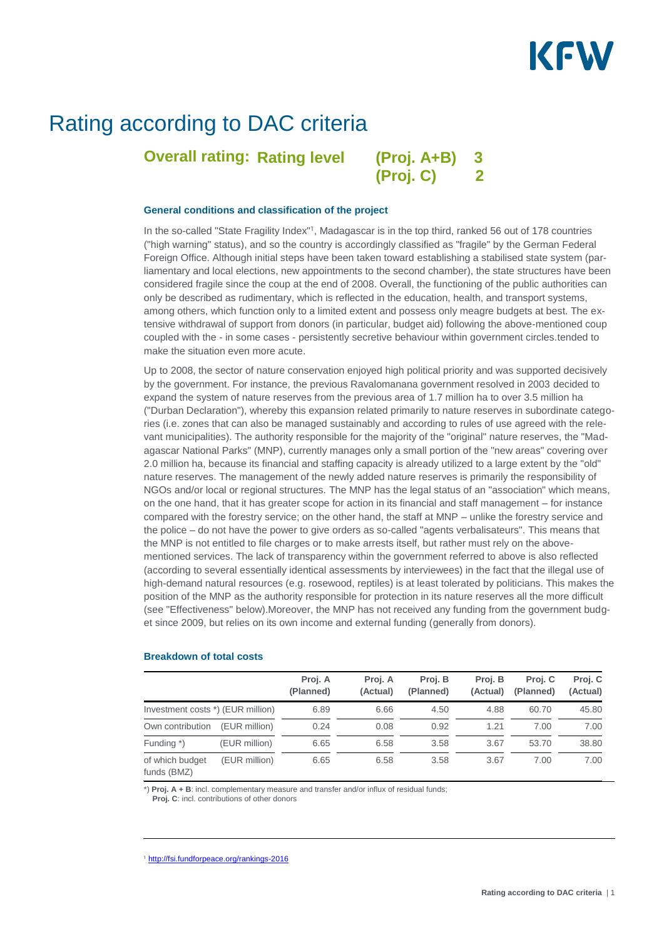## KEW

### Rating according to DAC criteria

**Overall rating: Rating level** 

**Rating level (Proj. A+B) 3 (Proj. C) 2**

#### **General conditions and classification of the project**

In the so-called "State Fragility Index"<sup>1</sup>, Madagascar is in the top third, ranked 56 out of 178 countries ("high warning" status), and so the country is accordingly classified as "fragile" by the German Federal Foreign Office. Although initial steps have been taken toward establishing a stabilised state system (parliamentary and local elections, new appointments to the second chamber), the state structures have been considered fragile since the coup at the end of 2008. Overall, the functioning of the public authorities can only be described as rudimentary, which is reflected in the education, health, and transport systems, among others, which function only to a limited extent and possess only meagre budgets at best. The extensive withdrawal of support from donors (in particular, budget aid) following the above-mentioned coup coupled with the - in some cases - persistently secretive behaviour within government circles.tended to make the situation even more acute.

Up to 2008, the sector of nature conservation enjoyed high political priority and was supported decisively by the government. For instance, the previous Ravalomanana government resolved in 2003 decided to expand the system of nature reserves from the previous area of 1.7 million ha to over 3.5 million ha ("Durban Declaration"), whereby this expansion related primarily to nature reserves in subordinate categories (i.e. zones that can also be managed sustainably and according to rules of use agreed with the relevant municipalities). The authority responsible for the majority of the "original" nature reserves, the "Madagascar National Parks" (MNP), currently manages only a small portion of the "new areas" covering over 2.0 million ha, because its financial and staffing capacity is already utilized to a large extent by the "old" nature reserves. The management of the newly added nature reserves is primarily the responsibility of NGOs and/or local or regional structures. The MNP has the legal status of an "association" which means, on the one hand, that it has greater scope for action in its financial and staff management – for instance compared with the forestry service; on the other hand, the staff at MNP – unlike the forestry service and the police – do not have the power to give orders as so-called "agents verbalisateurs". This means that the MNP is not entitled to file charges or to make arrests itself, but rather must rely on the abovementioned services. The lack of transparency within the government referred to above is also reflected (according to several essentially identical assessments by interviewees) in the fact that the illegal use of high-demand natural resources (e.g. rosewood, reptiles) is at least tolerated by politicians. This makes the position of the MNP as the authority responsible for protection in its nature reserves all the more difficult (see "Effectiveness" below).Moreover, the MNP has not received any funding from the government budget since 2009, but relies on its own income and external funding (generally from donors).

|                                   |               | Proj. A<br>(Planned) | Proj. A<br>(Actual) | Proj. B<br>(Planned) | Proi. B<br>(Actual) | Proj. C<br>(Planned) | Proj. C<br>(Actual) |
|-----------------------------------|---------------|----------------------|---------------------|----------------------|---------------------|----------------------|---------------------|
| Investment costs *) (EUR million) |               | 6.89                 | 6.66                | 4.50                 | 4.88                | 60.70                | 45.80               |
| Own contribution                  | (EUR million) | 0.24                 | 0.08                | 0.92                 | 1.21                | 7.00                 | 7.00                |
| Funding *)                        | (EUR million) | 6.65                 | 6.58                | 3.58                 | 3.67                | 53.70                | 38.80               |
| of which budget<br>funds $(RMZ)$  | (EUR million) | 6.65                 | 6.58                | 3.58                 | 3.67                | 7.00                 | 7.00                |

#### **Breakdown of total costs**

funds (BMZ)

\*) **Proj. A + B**: incl. complementary measure and transfer and/or influx of residual funds;

**Proj. C**: incl. contributions of other donors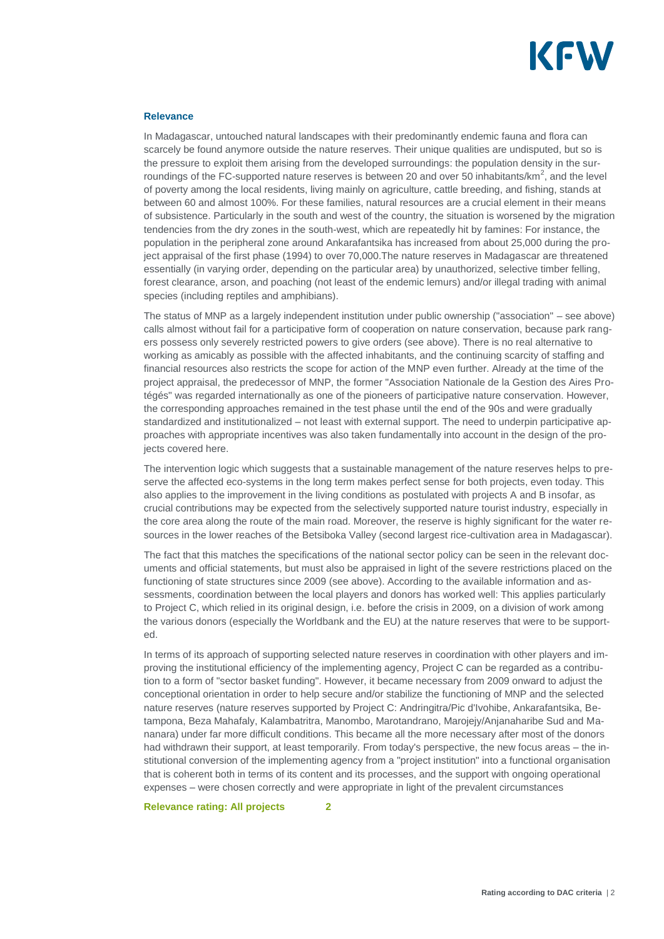

#### **Relevance**

In Madagascar, untouched natural landscapes with their predominantly endemic fauna and flora can scarcely be found anymore outside the nature reserves. Their unique qualities are undisputed, but so is the pressure to exploit them arising from the developed surroundings: the population density in the surroundings of the FC-supported nature reserves is between 20 and over 50 inhabitants/km<sup>2</sup>, and the level of poverty among the local residents, living mainly on agriculture, cattle breeding, and fishing, stands at between 60 and almost 100%. For these families, natural resources are a crucial element in their means of subsistence. Particularly in the south and west of the country, the situation is worsened by the migration tendencies from the dry zones in the south-west, which are repeatedly hit by famines: For instance, the population in the peripheral zone around Ankarafantsika has increased from about 25,000 during the project appraisal of the first phase (1994) to over 70,000.The nature reserves in Madagascar are threatened essentially (in varying order, depending on the particular area) by unauthorized, selective timber felling, forest clearance, arson, and poaching (not least of the endemic lemurs) and/or illegal trading with animal species (including reptiles and amphibians).

The status of MNP as a largely independent institution under public ownership ("association" – see above) calls almost without fail for a participative form of cooperation on nature conservation, because park rangers possess only severely restricted powers to give orders (see above). There is no real alternative to working as amicably as possible with the affected inhabitants, and the continuing scarcity of staffing and financial resources also restricts the scope for action of the MNP even further. Already at the time of the project appraisal, the predecessor of MNP, the former "Association Nationale de la Gestion des Aires Protégés" was regarded internationally as one of the pioneers of participative nature conservation. However, the corresponding approaches remained in the test phase until the end of the 90s and were gradually standardized and institutionalized – not least with external support. The need to underpin participative approaches with appropriate incentives was also taken fundamentally into account in the design of the projects covered here.

The intervention logic which suggests that a sustainable management of the nature reserves helps to preserve the affected eco-systems in the long term makes perfect sense for both projects, even today. This also applies to the improvement in the living conditions as postulated with projects A and B insofar, as crucial contributions may be expected from the selectively supported nature tourist industry, especially in the core area along the route of the main road. Moreover, the reserve is highly significant for the water resources in the lower reaches of the Betsiboka Valley (second largest rice-cultivation area in Madagascar).

The fact that this matches the specifications of the national sector policy can be seen in the relevant documents and official statements, but must also be appraised in light of the severe restrictions placed on the functioning of state structures since 2009 (see above). According to the available information and assessments, coordination between the local players and donors has worked well: This applies particularly to Project C, which relied in its original design, i.e. before the crisis in 2009, on a division of work among the various donors (especially the Worldbank and the EU) at the nature reserves that were to be supported.

In terms of its approach of supporting selected nature reserves in coordination with other players and improving the institutional efficiency of the implementing agency, Project C can be regarded as a contribution to a form of "sector basket funding". However, it became necessary from 2009 onward to adjust the conceptional orientation in order to help secure and/or stabilize the functioning of MNP and the selected nature reserves (nature reserves supported by Project C: Andringitra/Pic d'Ivohibe, Ankarafantsika, Betampona, Beza Mahafaly, Kalambatritra, Manombo, Marotandrano, Marojejy/Anjanaharibe Sud and Mananara) under far more difficult conditions. This became all the more necessary after most of the donors had withdrawn their support, at least temporarily. From today's perspective, the new focus areas – the institutional conversion of the implementing agency from a "project institution" into a functional organisation that is coherent both in terms of its content and its processes, and the support with ongoing operational expenses – were chosen correctly and were appropriate in light of the prevalent circumstances

**Relevance rating: All projects 2**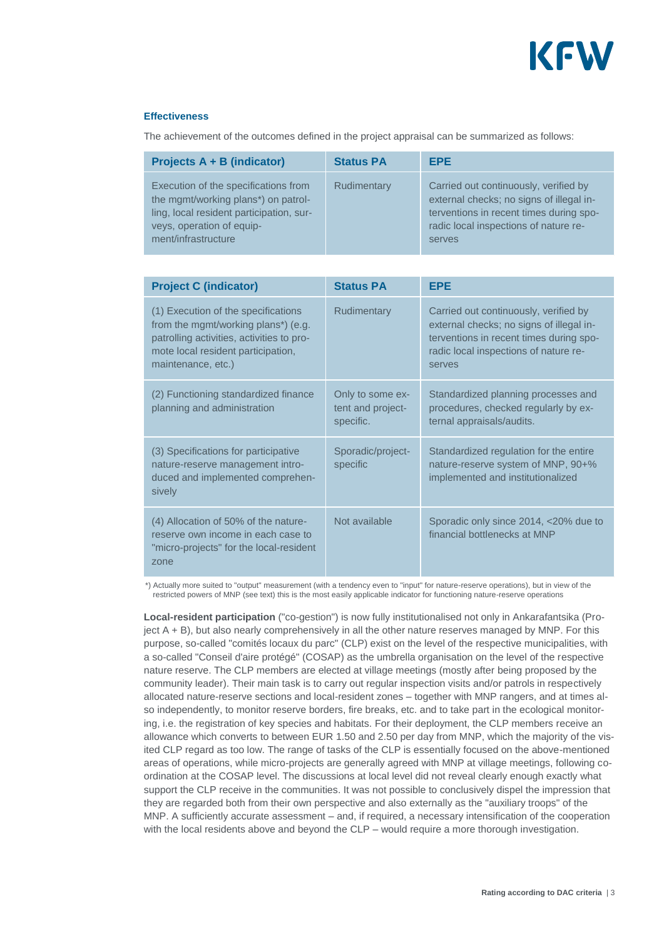

#### **Effectiveness**

The achievement of the outcomes defined in the project appraisal can be summarized as follows:

| Projects $A + B$ (indicator)                                                                                                                                                | <b>Status PA</b> | <b>EPE</b>                                                                                                                                                                      |
|-----------------------------------------------------------------------------------------------------------------------------------------------------------------------------|------------------|---------------------------------------------------------------------------------------------------------------------------------------------------------------------------------|
| Execution of the specifications from<br>the mgmt/working plans*) on patrol-<br>ling, local resident participation, sur-<br>veys, operation of equip-<br>ment/infrastructure | Rudimentary      | Carried out continuously, verified by<br>external checks; no signs of illegal in-<br>terventions in recent times during spo-<br>radic local inspections of nature re-<br>serves |

| <b>Project C (indicator)</b>                                                                                                                                                        | <b>Status PA</b>                                   | <b>EPE</b>                                                                                                                                                                      |
|-------------------------------------------------------------------------------------------------------------------------------------------------------------------------------------|----------------------------------------------------|---------------------------------------------------------------------------------------------------------------------------------------------------------------------------------|
| (1) Execution of the specifications<br>from the mgmt/working plans*) (e.g.<br>patrolling activities, activities to pro-<br>mote local resident participation,<br>maintenance, etc.) | <b>Rudimentary</b>                                 | Carried out continuously, verified by<br>external checks; no signs of illegal in-<br>terventions in recent times during spo-<br>radic local inspections of nature re-<br>serves |
| (2) Functioning standardized finance<br>planning and administration                                                                                                                 | Only to some ex-<br>tent and project-<br>specific. | Standardized planning processes and<br>procedures, checked regularly by ex-<br>ternal appraisals/audits.                                                                        |
| (3) Specifications for participative<br>nature-reserve management intro-<br>duced and implemented comprehen-<br>sively                                                              | Sporadic/project-<br>specific                      | Standardized regulation for the entire<br>nature-reserve system of MNP, 90+%<br>implemented and institutionalized                                                               |
| (4) Allocation of 50% of the nature-<br>reserve own income in each case to<br>"micro-projects" for the local-resident<br>zone                                                       | Not available                                      | Sporadic only since 2014, <20% due to<br>financial bottlenecks at MNP                                                                                                           |

 \*) Actually more suited to "output" measurement (with a tendency even to "input" for nature-reserve operations), but in view of the restricted powers of MNP (see text) this is the most easily applicable indicator for functioning nature-reserve operations

**Local-resident participation** ("co-gestion") is now fully institutionalised not only in Ankarafantsika (Project A + B), but also nearly comprehensively in all the other nature reserves managed by MNP. For this purpose, so-called "comités locaux du parc" (CLP) exist on the level of the respective municipalities, with a so-called "Conseil d'aire protégé" (COSAP) as the umbrella organisation on the level of the respective nature reserve. The CLP members are elected at village meetings (mostly after being proposed by the community leader). Their main task is to carry out regular inspection visits and/or patrols in respectively allocated nature-reserve sections and local-resident zones – together with MNP rangers, and at times also independently, to monitor reserve borders, fire breaks, etc. and to take part in the ecological monitoring, i.e. the registration of key species and habitats. For their deployment, the CLP members receive an allowance which converts to between EUR 1.50 and 2.50 per day from MNP, which the majority of the visited CLP regard as too low. The range of tasks of the CLP is essentially focused on the above-mentioned areas of operations, while micro-projects are generally agreed with MNP at village meetings, following coordination at the COSAP level. The discussions at local level did not reveal clearly enough exactly what support the CLP receive in the communities. It was not possible to conclusively dispel the impression that they are regarded both from their own perspective and also externally as the "auxiliary troops" of the MNP. A sufficiently accurate assessment – and, if required, a necessary intensification of the cooperation with the local residents above and beyond the CLP – would require a more thorough investigation.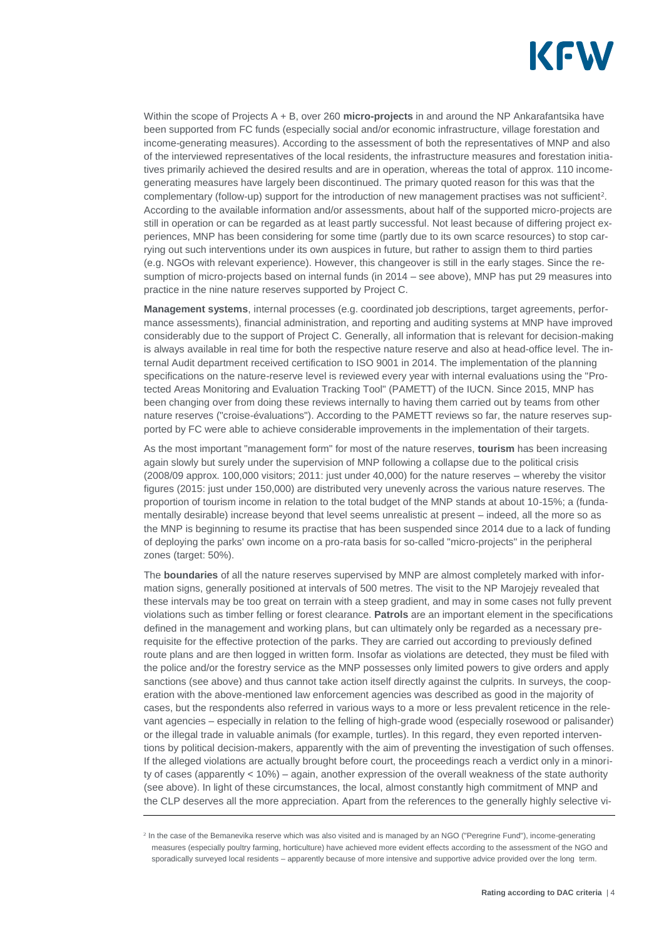

Within the scope of Projects A + B, over 260 **micro-projects** in and around the NP Ankarafantsika have been supported from FC funds (especially social and/or economic infrastructure, village forestation and income-generating measures). According to the assessment of both the representatives of MNP and also of the interviewed representatives of the local residents, the infrastructure measures and forestation initiatives primarily achieved the desired results and are in operation, whereas the total of approx. 110 incomegenerating measures have largely been discontinued. The primary quoted reason for this was that the complementary (follow-up) support for the introduction of new management practises was not sufficient<sup>2</sup>. According to the available information and/or assessments, about half of the supported micro-projects are still in operation or can be regarded as at least partly successful. Not least because of differing project experiences, MNP has been considering for some time (partly due to its own scarce resources) to stop carrying out such interventions under its own auspices in future, but rather to assign them to third parties (e.g. NGOs with relevant experience). However, this changeover is still in the early stages. Since the resumption of micro-projects based on internal funds (in 2014 – see above), MNP has put 29 measures into practice in the nine nature reserves supported by Project C.

**Management systems**, internal processes (e.g. coordinated job descriptions, target agreements, performance assessments), financial administration, and reporting and auditing systems at MNP have improved considerably due to the support of Project C. Generally, all information that is relevant for decision-making is always available in real time for both the respective nature reserve and also at head-office level. The internal Audit department received certification to ISO 9001 in 2014. The implementation of the planning specifications on the nature-reserve level is reviewed every year with internal evaluations using the "Protected Areas Monitoring and Evaluation Tracking Tool" (PAMETT) of the IUCN. Since 2015, MNP has been changing over from doing these reviews internally to having them carried out by teams from other nature reserves ("croise-évaluations"). According to the PAMETT reviews so far, the nature reserves supported by FC were able to achieve considerable improvements in the implementation of their targets.

As the most important "management form" for most of the nature reserves, **tourism** has been increasing again slowly but surely under the supervision of MNP following a collapse due to the political crisis (2008/09 approx. 100,000 visitors; 2011: just under 40,000) for the nature reserves – whereby the visitor figures (2015: just under 150,000) are distributed very unevenly across the various nature reserves. The proportion of tourism income in relation to the total budget of the MNP stands at about 10-15%; a (fundamentally desirable) increase beyond that level seems unrealistic at present – indeed, all the more so as the MNP is beginning to resume its practise that has been suspended since 2014 due to a lack of funding of deploying the parks' own income on a pro-rata basis for so-called "micro-projects" in the peripheral zones (target: 50%).

The **boundaries** of all the nature reserves supervised by MNP are almost completely marked with information signs, generally positioned at intervals of 500 metres. The visit to the NP Marojejy revealed that these intervals may be too great on terrain with a steep gradient, and may in some cases not fully prevent violations such as timber felling or forest clearance. **Patrols** are an important element in the specifications defined in the management and working plans, but can ultimately only be regarded as a necessary prerequisite for the effective protection of the parks. They are carried out according to previously defined route plans and are then logged in written form. Insofar as violations are detected, they must be filed with the police and/or the forestry service as the MNP possesses only limited powers to give orders and apply sanctions (see above) and thus cannot take action itself directly against the culprits. In surveys, the cooperation with the above-mentioned law enforcement agencies was described as good in the majority of cases, but the respondents also referred in various ways to a more or less prevalent reticence in the relevant agencies – especially in relation to the felling of high-grade wood (especially rosewood or palisander) or the illegal trade in valuable animals (for example, turtles). In this regard, they even reported interventions by political decision-makers, apparently with the aim of preventing the investigation of such offenses. If the alleged violations are actually brought before court, the proceedings reach a verdict only in a minority of cases (apparently < 10%) – again, another expression of the overall weakness of the state authority (see above). In light of these circumstances, the local, almost constantly high commitment of MNP and the CLP deserves all the more appreciation. Apart from the references to the generally highly selective vi-

<sup>&</sup>lt;sup>2</sup> In the case of the Bemanevika reserve which was also visited and is managed by an NGO ("Peregrine Fund"), income-generating measures (especially poultry farming, horticulture) have achieved more evident effects according to the assessment of the NGO and sporadically surveyed local residents – apparently because of more intensive and supportive advice provided over the long term.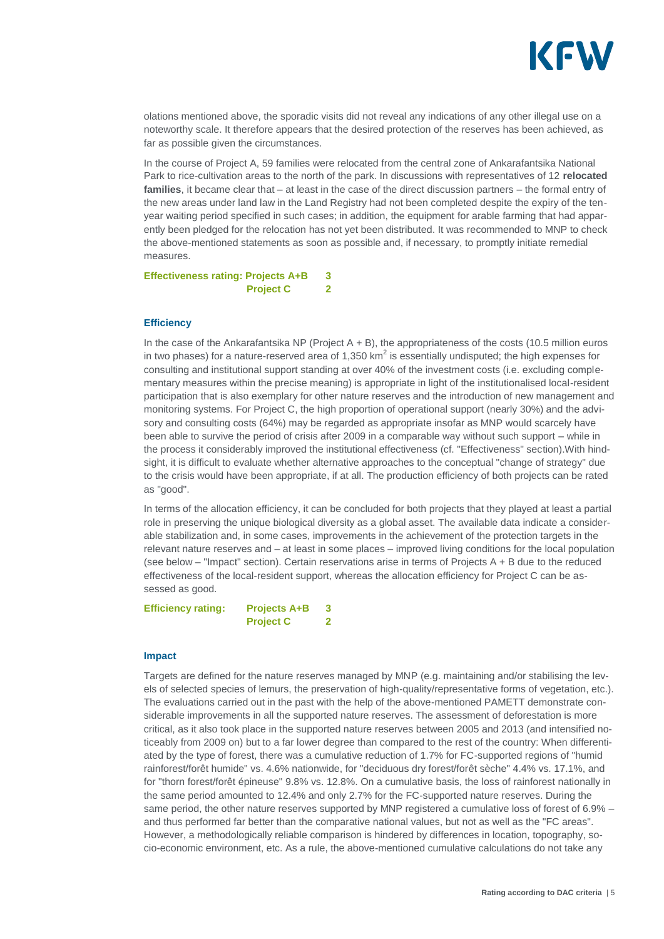

olations mentioned above, the sporadic visits did not reveal any indications of any other illegal use on a noteworthy scale. It therefore appears that the desired protection of the reserves has been achieved, as far as possible given the circumstances.

In the course of Project A, 59 families were relocated from the central zone of Ankarafantsika National Park to rice-cultivation areas to the north of the park. In discussions with representatives of 12 **relocated families**, it became clear that – at least in the case of the direct discussion partners – the formal entry of the new areas under land law in the Land Registry had not been completed despite the expiry of the tenyear waiting period specified in such cases; in addition, the equipment for arable farming that had apparently been pledged for the relocation has not yet been distributed. It was recommended to MNP to check the above-mentioned statements as soon as possible and, if necessary, to promptly initiate remedial measures.

**Effectiveness rating: Projects A+B 3 Project C 2**

#### **Efficiency**

In the case of the Ankarafantsika NP (Project A + B), the appropriateness of the costs (10.5 million euros in two phases) for a nature-reserved area of 1,350 km<sup>2</sup> is essentially undisputed; the high expenses for consulting and institutional support standing at over 40% of the investment costs (i.e. excluding complementary measures within the precise meaning) is appropriate in light of the institutionalised local-resident participation that is also exemplary for other nature reserves and the introduction of new management and monitoring systems. For Project C, the high proportion of operational support (nearly 30%) and the advisory and consulting costs (64%) may be regarded as appropriate insofar as MNP would scarcely have been able to survive the period of crisis after 2009 in a comparable way without such support – while in the process it considerably improved the institutional effectiveness (cf. "Effectiveness" section).With hindsight, it is difficult to evaluate whether alternative approaches to the conceptual "change of strategy" due to the crisis would have been appropriate, if at all. The production efficiency of both projects can be rated as "good".

In terms of the allocation efficiency, it can be concluded for both projects that they played at least a partial role in preserving the unique biological diversity as a global asset. The available data indicate a considerable stabilization and, in some cases, improvements in the achievement of the protection targets in the relevant nature reserves and – at least in some places – improved living conditions for the local population (see below – "Impact" section). Certain reservations arise in terms of Projects A + B due to the reduced effectiveness of the local-resident support, whereas the allocation efficiency for Project C can be assessed as good.

**Efficiency rating: Projects A+B 3 Project C 2**

#### **Impact**

Targets are defined for the nature reserves managed by MNP (e.g. maintaining and/or stabilising the levels of selected species of lemurs, the preservation of high-quality/representative forms of vegetation, etc.). The evaluations carried out in the past with the help of the above-mentioned PAMETT demonstrate considerable improvements in all the supported nature reserves. The assessment of deforestation is more critical, as it also took place in the supported nature reserves between 2005 and 2013 (and intensified noticeably from 2009 on) but to a far lower degree than compared to the rest of the country: When differentiated by the type of forest, there was a cumulative reduction of 1.7% for FC-supported regions of "humid rainforest/forêt humide" vs. 4.6% nationwide, for "deciduous dry forest/forêt sèche" 4.4% vs. 17.1%, and for "thorn forest/forêt épineuse" 9.8% vs. 12.8%. On a cumulative basis, the loss of rainforest nationally in the same period amounted to 12.4% and only 2.7% for the FC-supported nature reserves. During the same period, the other nature reserves supported by MNP registered a cumulative loss of forest of 6.9% – and thus performed far better than the comparative national values, but not as well as the "FC areas". However, a methodologically reliable comparison is hindered by differences in location, topography, socio-economic environment, etc. As a rule, the above-mentioned cumulative calculations do not take any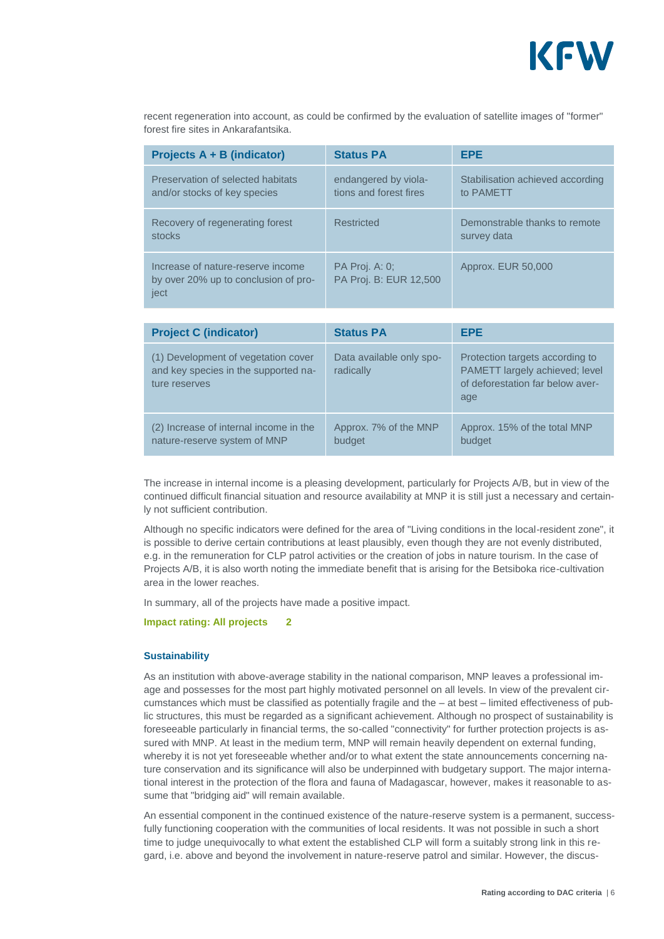

recent regeneration into account, as could be confirmed by the evaluation of satellite images of "former" forest fire sites in Ankarafantsika.

| Projects A + B (indicator)                                                        | <b>Status PA</b>                                | <b>EPE</b>                                    |
|-----------------------------------------------------------------------------------|-------------------------------------------------|-----------------------------------------------|
| Preservation of selected habitats<br>and/or stocks of key species                 | endangered by viola-<br>tions and forest fires  | Stabilisation achieved according<br>to PAMETT |
| Recovery of regenerating forest<br>stocks                                         | Restricted                                      | Demonstrable thanks to remote<br>survey data  |
| Increase of nature-reserve income<br>by over 20% up to conclusion of pro-<br>ject | <b>PA Proj. A: 0:</b><br>PA Proj. B: EUR 12,500 | Approx. EUR 50,000                            |
|                                                                                   |                                                 |                                               |
| <b>Project C (indicator)</b>                                                      | <b>Status PA</b>                                | <b>EPE</b>                                    |

| <b>Project C (indicator)</b>                                                                 | <b>Status PA</b>                      | EPE                                                                                                          |
|----------------------------------------------------------------------------------------------|---------------------------------------|--------------------------------------------------------------------------------------------------------------|
| (1) Development of vegetation cover<br>and key species in the supported na-<br>ture reserves | Data available only spo-<br>radically | Protection targets according to<br>PAMETT largely achieved; level<br>of deforestation far below aver-<br>age |
| (2) Increase of internal income in the<br>nature-reserve system of MNP                       | Approx. 7% of the MNP<br>budget       | Approx. 15% of the total MNP<br>budget                                                                       |

The increase in internal income is a pleasing development, particularly for Projects A/B, but in view of the continued difficult financial situation and resource availability at MNP it is still just a necessary and certainly not sufficient contribution.

Although no specific indicators were defined for the area of "Living conditions in the local-resident zone", it is possible to derive certain contributions at least plausibly, even though they are not evenly distributed, e.g. in the remuneration for CLP patrol activities or the creation of jobs in nature tourism. In the case of Projects A/B, it is also worth noting the immediate benefit that is arising for the Betsiboka rice-cultivation area in the lower reaches.

In summary, all of the projects have made a positive impact.

#### **Impact rating: All projects 2**

#### **Sustainability**

As an institution with above-average stability in the national comparison, MNP leaves a professional image and possesses for the most part highly motivated personnel on all levels. In view of the prevalent circumstances which must be classified as potentially fragile and the – at best – limited effectiveness of public structures, this must be regarded as a significant achievement. Although no prospect of sustainability is foreseeable particularly in financial terms, the so-called "connectivity" for further protection projects is assured with MNP. At least in the medium term, MNP will remain heavily dependent on external funding, whereby it is not yet foreseeable whether and/or to what extent the state announcements concerning nature conservation and its significance will also be underpinned with budgetary support. The major international interest in the protection of the flora and fauna of Madagascar, however, makes it reasonable to assume that "bridging aid" will remain available.

An essential component in the continued existence of the nature-reserve system is a permanent, successfully functioning cooperation with the communities of local residents. It was not possible in such a short time to judge unequivocally to what extent the established CLP will form a suitably strong link in this regard, i.e. above and beyond the involvement in nature-reserve patrol and similar. However, the discus-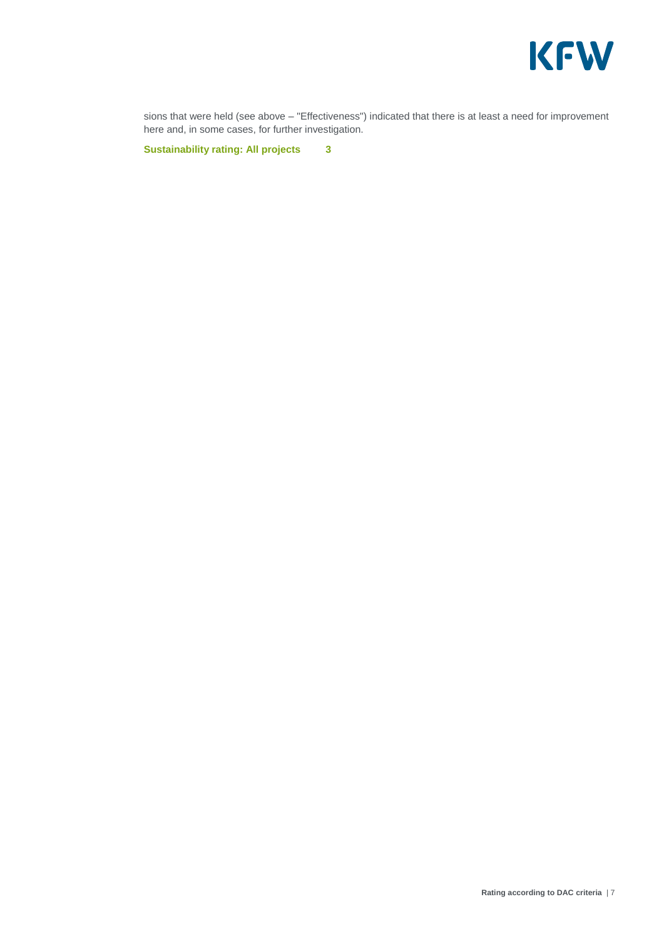

sions that were held (see above – "Effectiveness") indicated that there is at least a need for improvement here and, in some cases, for further investigation.

**Sustainability rating: All projects 3**